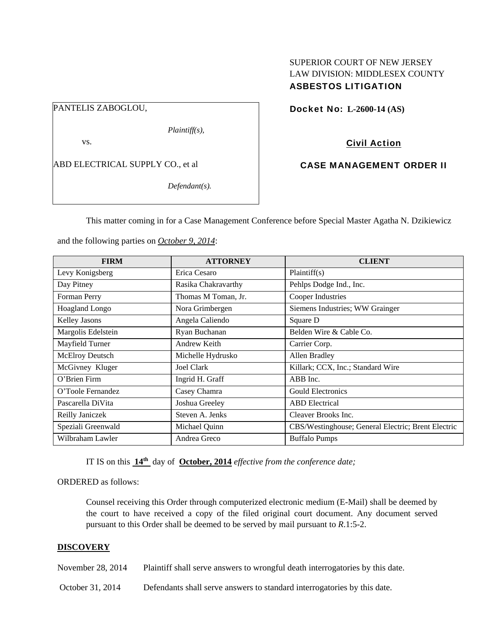# SUPERIOR COURT OF NEW JERSEY LAW DIVISION: MIDDLESEX COUNTY ASBESTOS LITIGATION

PANTELIS ZABOGLOU,

*Plaintiff(s),* 

vs.

ABD ELECTRICAL SUPPLY CO., et al

*Defendant(s).* 

Docket No: **L-2600-14 (AS)** 

Civil Action

CASE MANAGEMENT ORDER II

This matter coming in for a Case Management Conference before Special Master Agatha N. Dzikiewicz

and the following parties on *October 9, 2014*:

| <b>FIRM</b>          | <b>ATTORNEY</b>     | <b>CLIENT</b>                                      |
|----------------------|---------------------|----------------------------------------------------|
| Levy Konigsberg      | Erica Cesaro        | Plaintiff(s)                                       |
| Day Pitney           | Rasika Chakravarthy | Pehlps Dodge Ind., Inc.                            |
| Forman Perry         | Thomas M Toman, Jr. | <b>Cooper Industries</b>                           |
| Hoagland Longo       | Nora Grimbergen     | Siemens Industries; WW Grainger                    |
| <b>Kelley Jasons</b> | Angela Caliendo     | Square D                                           |
| Margolis Edelstein   | Ryan Buchanan       | Belden Wire & Cable Co.                            |
| Mayfield Turner      | Andrew Keith        | Carrier Corp.                                      |
| McElroy Deutsch      | Michelle Hydrusko   | Allen Bradley                                      |
| McGivney Kluger      | <b>Joel Clark</b>   | Killark; CCX, Inc.; Standard Wire                  |
| O'Brien Firm         | Ingrid H. Graff     | ABB Inc.                                           |
| O'Toole Fernandez    | Casey Chamra        | <b>Gould Electronics</b>                           |
| Pascarella DiVita    | Joshua Greeley      | <b>ABD</b> Electrical                              |
| Reilly Janiczek      | Steven A. Jenks     | Cleaver Brooks Inc.                                |
| Speziali Greenwald   | Michael Quinn       | CBS/Westinghouse; General Electric; Brent Electric |
| Wilbraham Lawler     | Andrea Greco        | <b>Buffalo Pumps</b>                               |

IT IS on this **14th** day of **October, 2014** *effective from the conference date;*

ORDERED as follows:

Counsel receiving this Order through computerized electronic medium (E-Mail) shall be deemed by the court to have received a copy of the filed original court document. Any document served pursuant to this Order shall be deemed to be served by mail pursuant to *R*.1:5-2.

# **DISCOVERY**

November 28, 2014 Plaintiff shall serve answers to wrongful death interrogatories by this date.

October 31, 2014 Defendants shall serve answers to standard interrogatories by this date.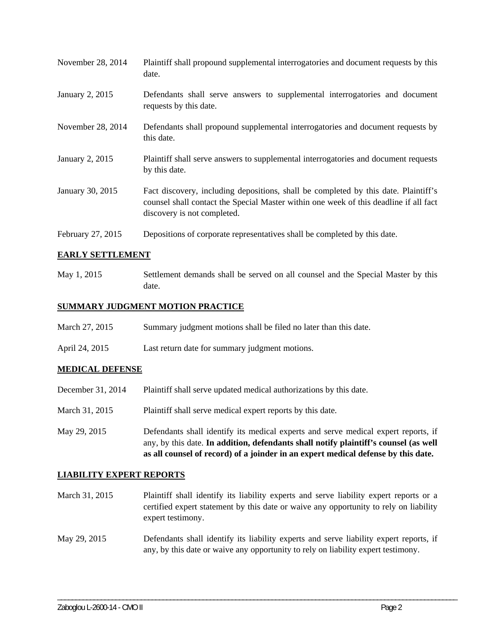| November 28, 2014 | Plaintiff shall propound supplemental interrogatories and document requests by this<br>date.                                                                                                                |
|-------------------|-------------------------------------------------------------------------------------------------------------------------------------------------------------------------------------------------------------|
| January 2, 2015   | Defendants shall serve answers to supplemental interrogatories and document<br>requests by this date.                                                                                                       |
| November 28, 2014 | Defendants shall propound supplemental interrogatories and document requests by<br>this date.                                                                                                               |
| January 2, 2015   | Plaintiff shall serve answers to supplemental interrogatories and document requests<br>by this date.                                                                                                        |
| January 30, 2015  | Fact discovery, including depositions, shall be completed by this date. Plaintiff's<br>counsel shall contact the Special Master within one week of this deadline if all fact<br>discovery is not completed. |
| February 27, 2015 | Depositions of corporate representatives shall be completed by this date.                                                                                                                                   |

## **EARLY SETTLEMENT**

May 1, 2015 Settlement demands shall be served on all counsel and the Special Master by this date.

# **SUMMARY JUDGMENT MOTION PRACTICE**

April 24, 2015 Last return date for summary judgment motions.

#### **MEDICAL DEFENSE**

- December 31, 2014 Plaintiff shall serve updated medical authorizations by this date.
- March 31, 2015 Plaintiff shall serve medical expert reports by this date.
- May 29, 2015 Defendants shall identify its medical experts and serve medical expert reports, if any, by this date. **In addition, defendants shall notify plaintiff's counsel (as well as all counsel of record) of a joinder in an expert medical defense by this date.**

#### **LIABILITY EXPERT REPORTS**

- March 31, 2015 Plaintiff shall identify its liability experts and serve liability expert reports or a certified expert statement by this date or waive any opportunity to rely on liability expert testimony.
- May 29, 2015 Defendants shall identify its liability experts and serve liability expert reports, if any, by this date or waive any opportunity to rely on liability expert testimony.

\_\_\_\_\_\_\_\_\_\_\_\_\_\_\_\_\_\_\_\_\_\_\_\_\_\_\_\_\_\_\_\_\_\_\_\_\_\_\_\_\_\_\_\_\_\_\_\_\_\_\_\_\_\_\_\_\_\_\_\_\_\_\_\_\_\_\_\_\_\_\_\_\_\_\_\_\_\_\_\_\_\_\_\_\_\_\_\_\_\_\_\_\_\_\_\_\_\_\_\_\_\_\_\_\_\_\_\_\_\_